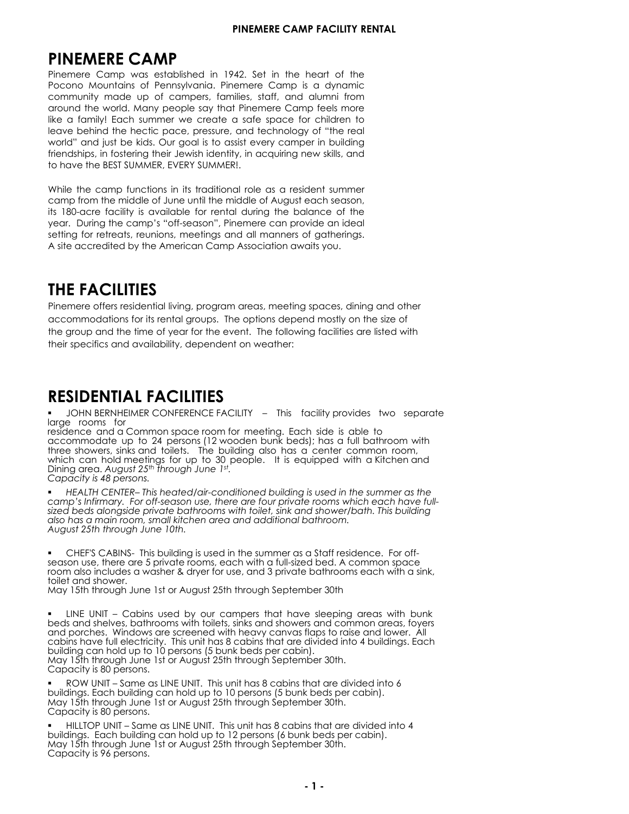## PINFMERE CAMP

3LOHPHUH &DPS DV HVWDEOLVKHG LQ KW LQ WKH KHDUW RI WKH 3RFROR 0RIQWDLQV RI 3HQQVOYDQLD 3LQHPHUH &DPS LV D GQDPLF FRPPIQLWPDGH & RI FDPSHUV IDPLOLHV VWDII DQG DORQL IURP DURIOG WKH RUOG ODQ'SHRSOH VDWKDW 3LQHPHUH & DPS IHHOV PRUH OLNH D IDPLOYDFK VRPHU EI FUHDWH D VDIH VSDFH IRU FKLOGUHQ WR OHDYHFHKI OG WKHKHFWI FSDFHSUHVVNH DOG WHFKORORJ RIWKHUHDO RUOGIDQGMXWEHNLGV2MJRDOLVWRDVVLVWHYHUFDPSHULQEKOGLQJ IULHQGVKLSVLQIRVWHULQJWKHLU-HEVKLGHQWLWLQDFTKULQJQHX/NLOOVDQG WRKDYHWKH**%8**0(5(\$580(5)

KLOH WKH FDPS IX FWLROV LO LWV WUDGLWLRODO UROH DV D UHVLGHOW VRPHU FDPSIURPWKHPLGGOHRI-XHXXWLOWKHPLGGOHRIXXWHDFKVHDVRQ I WWFUH IDEI OI WY V DYDI ODEOH IRU UHOWDO GWI OJ WKH EDODOFH RI WKH NDUMLQJWKHFDPSVRIIVHDVRQBLQHPHUHFDQSURYLGHDQLGHDO VHWWLQJIRUUHWUHDWVUHXQLRQVPHHWLQJVDQGDOOPDQQHUVRIJDWKHULQJV **WLWHDFFUHGLWHGEWKHBHULFDQ&DPSWVRFLDWLRQDDLWVRX** 

# THE FACILITIES

3LQHPHUHRIIHUVUHVLGHQWLDOOLYLQJSURJUDPDUHDVPHHWLQJVSDFHVGLQLQJDQGRWKHU DEERPPRGDWLRQVIRULWVUHQWDOJURXVKHRSWLRQVGHSHQGPRVWORQWKHVLHRI WKHJURXDQGWKHWLPHRINDUIRUWKHHYHQWKHIROORZQJIDFLOLWLHVDUHOLVWHGZWK WKHLUVSHFLILFVDQGDYDLODELOLWGHSHQGHQWRQEDWKHU

# $5(61\%)$ &,  $/76$

-24%14,0(5&21)(5(1&()&,/,72 RLV IDFLOLWSURYLGHV WR VHSDUDWH ODUJH URRPV IRU UHVLGHOFH DOGD&RPPROVSDFHURRPIRU PHHWLOJ (DFK VLGHVDEOH WR SHUVRQVERGHQEXQNEHGVKDVD DFFRPPRGDWH & WR **IØGEDWKURRP ZWK** WKUHNKREIUV VLONVDOG WRLONWENOGLOJ DOVR KDV D FHOWHU FRPPRO URRP KLFK FDO KROGPHHWLOJV IRU S WR SHRSOH, W LVHTINSSHG INVK D.LWFKHODOG  $VW$ WWKURXK-XQH LOLOJDUHDXXW &DSDFLW\L\SHUVRQV

(\$%) (175KLVKHDWHGDLUFRQGLWLRQHGEKOGLQJLVXHGLQWKHVRPHUDVWKH FDPSV, QILUPDU)RURIIVHDVRQXHWKHUHDUHIRXSULYDWHURRPVKLFKHDFKKDYHIXO VLHGEHGVDOROJVLGHSULYDWHEDWKURRPVEWKWRLOHWVLONDOGVKREUEDWKKLVEKOGLOJ DOVRKDVDPDLQURRPVPDOONLWFKHQDUHDDQGDGGLWLRQDOEDWKURRP **XXWWKWKURXK-XQHWK** 

& + 6% & LVE KOGLQJLV WHGLQWKHV RPHUDVD & DIIUHVLGHQFH) RURII .<br>VHDVŘOXHWKHUHDUHSULYDWHURRPVHDFKIWKDIXOVLHGEHGISRPPROVSDFH URRPDOVRLQFO&HVDDVKHUGUNUIRUXHDQGSULYDWHEDWKURRPVHDFKZWKDVLQN WRLOHWDQGVKREU ODWKWKURXK-XQHVWRUXXWWKWKURXKHSWHPEHUWK

f LINE UNIT <sup>2</sup> Cabins used by our campers that have sleeping areas with EXA EHGVDQVKHOYHVEDWKURRPVZWKWRLOHWVVLQVDQVKRZUVDQFRPPRQUHDVIRHUV DGSRUFKHV:LGRZDUHVFUHHQGZWKKHDYFDZDVIODSVWRUDLVHDGORZUDO FDELQKDYHIXOHOHFWULFLWYKLVXWKDVFDELQWKDWDUHGLYLGHGLQYREXOGLQV(DFK EXOGLOFDIOROGXWRSHUVRQEXQEHGVSHUFDELQ ODWKWKURXK-@VWRUXXWWKWKURXK6HSWHPEHUWK &DSDFLWLVSHUVRQ

52:81,76DPHDV/,1(81,77KLVWWKDVFDELWWKDWDUHGLYLGHGLWR EXOGLOVIDFKEXOGLOPDKROGXWRSHUVRQEKQEHGVSHUFDELQ ODWKWKURXK-XWWRUXXWWKWKURXK6HSWHPEHUWK &DSDFLWLVSHUVR@

#/72381,76DPHDV/,1(81,77KLVWWKDVFDELWWKDWDUHGLYLGHGLWR EXOGLOV (DFKEXOGLOFDISROGXWRSHUVRQEXEHGVSHUFDELQ ODWKWKURXK-QVWRUXXWWKWKURXK6HSWHPEHUWK &DSDFLWLVSHUVR@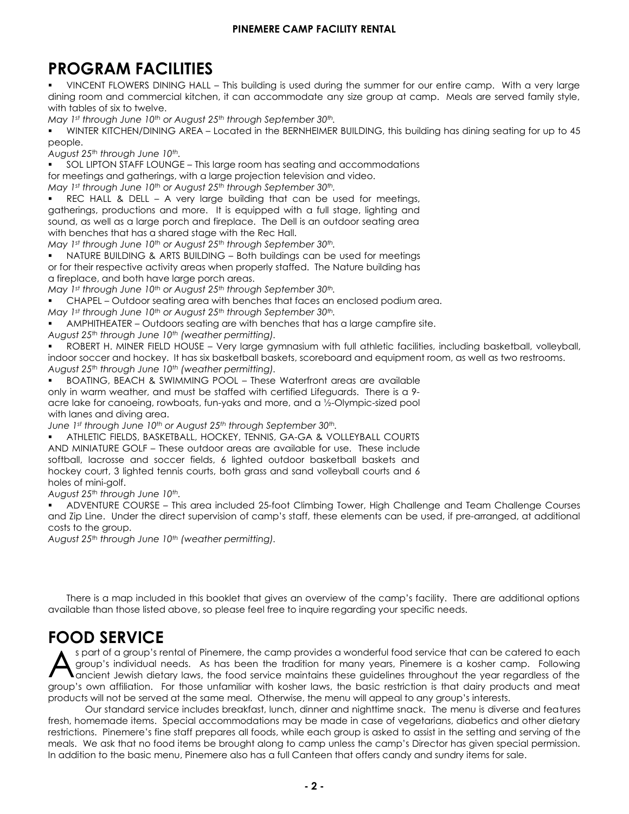#### **PINEMERE CAMP FACILITY RENTAL**

# **PROGRAM FACILITIES**

 VINCENT FLOWERS DINING HALL – This building is used during the summer for our entire camp. With a very large dining room and commercial kitchen, it can accommodate any size group at camp. Meals are served family style, with tables of six to twelve.

*May 15th through June 1st or August 25th through September 30th.*

 SOL LIPTON STAFF LOUNGE – This large room has seating and accommodations for meetings and gatherings, with access to television & wifi.

*May 15th through June 1st or August 25th through September 30th.*

 REC HALL & DELL – A very large building that can be used for meetings, gatherings, productions and more. It is equipped with a full stage, lighting and sound. The Dell is an outdoor seating area with benches that has a shared stage with the Rec Hall.

*May 15th through June 1st or August 25th through September 30th.*

 ARTS & CRAFTS BUILDING – Can be used for meetings or for respective activity area when properly staffed. *May 15th through June 1st or August 25th through September 30th.*

 CHAPEL – Outdoor seating area with benches that faces an enclosed podium area. *May 15th through June 1st or August 25th through September 30th.*

 ROBERT H. MINER FIELD HOUSE – Very large gymnasium with full athletic facilities, including basketball, volleyball, indoor soccer and hockey. It has six basketball baskets, scoreboard and equipment room, as well as two restrooms. *August 25th through June 10th (weather permitting).*

 BOATING, BEACH & SWIMMING POOL – These Waterfront areas are available only in warm weather, and must be staffed with certified Lifeguards. There is a 9- acre lake for canoeing, kayaks, paddelboards and more, and a ½-Olympic-sized pool with lanes and diving area. *May 15th through June 1st or August 25th through September 30th.*

 ATHLETIC FIELDS, BASKETBALL, HOCKEY, TENNIS, GA-GA & VOLLEYBALL COURTS – These outdoor areas are available for use. These include softball, lacrosse and soccer fields, 1 lighted outdoor basketball court, 3 lighted tennis courts, and sand volleyball courts. *August 25th through June 10th.*

### **FOOD SERVICE**

As part of a group's rental of Pinemere, the camp provides a wonderful food service that can be catered to each group's individual needs. Pinemere is a kosher camp, and the food service maintains these guidelines throughout the year regardless of the group's own affiliation.

Our standard service includes breakfast, lunch & dinner. Pinemere will work with each group to set a menu based on<br>the group's needs for their rental. Menus will be set two-weeks before any rental and all allergies & dieta

Pinemere works directly with a Kosher Caterer to fill needs above the standard food service provided by Pinemere's onsite team. Menus and pricing can be set to accommodate any needs by the group.

Due to allergies and maintaining a Kosher camp we ask that no food items be brought along to camp unless the Camp's Associate Director has given special permission.

Meals are served in our Dining Hall in late spring and early fall, and in the Bernheimer Kitchen for the remainder of the year.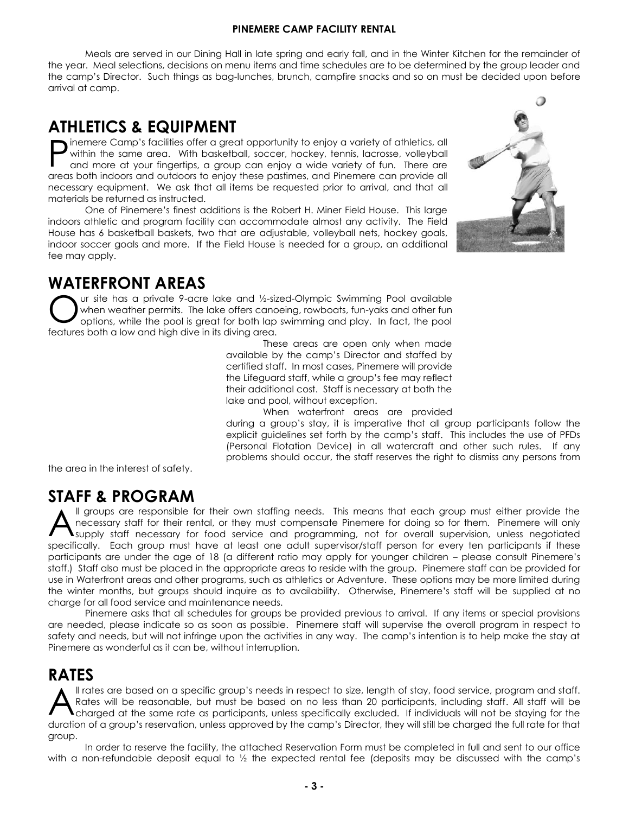## **ATHLETICS & EQUIPMENT**

Pinemere Camp's facilities offer a great opportunity to enjoy a variety of athletics, all within the same area. With basketball, soccer, hockey, tennis, lacrosse, volleyball and more at your fingertips, a group can enjoy a wide variety of fun. There are areas both indoors and outdoors to enjoy these pastimes, and Pinemere can provide all necessary equipment. We ask that all items be requested prior to arrival, and that all materials be returned as instructed.

One of Pinemere's finest facilities is the Robert H. Miner Field House. This large indoors athletic and program facility can accommodate almost any activity. The Field House has 6 basketball baskets, two that are adjustable, volleyball nets, hockey goals, indoor soccer goals and more. The Field House is available year-round for groups.

## **WATERFRONT AREAS**

Our site has a private 9-acre lake and ½-sized-Olympic Swimming Pool available when weather permits. The lake offers canoing, paddleboards & kayaks. These areas are open only when made available by the camp's Director and staffed by certified staff. There is a daily fee to use the Waterfront areas; this includes both the Lake , Pool and staffing for these areas. Pinemere will provide the Lifeguard staff. Staff is necessary at both the lake and pool, without exception.

When waterfront areas are provided during a group's stay, it is imperative that all group participants follow the explicit guidelines set forth by the camp's staff. This includes the use of PFDs (Personal Flotation Device) at the lake and other such rules. If any problems should occur, the staff reserves the right to dismiss any persons from the area in the interest of safety.

## **STAFF & PROGRAM**

All groups are responsible for their own staffing needs. This means that each group must either provide the necessary staff for their rental. Pinemere will only supply staff necessary for food service and programming, not for overall supervision.

Each group must have at least one adult supervisor/staff person for every ten participants if these participants are under the age of 18 (a different ratio may apply for younger children – please consult Pinemere's staff.) Staff also must be placed in the appropriate areas to reside with the group.

Pinemere staff can be provided for use in Waterfront areas and other programs. These options may be more limited during the winter months, but groups should inquire as to availability. Otherwise, Pinemere's staff will be supplied at no charge for all food service and maintenance needs.

Pinemere asks that all schedules for groups be provided two weeks propr to arrival. If any items or special provisions are needed, please indicate so as soon as possible. Pinemere staff will supervise the overall program in respect to safety and needs, but will not infringe upon the activities in any way. The camp's intention is to help make the stay at Pinemere as wonderful as it can be, without interruption.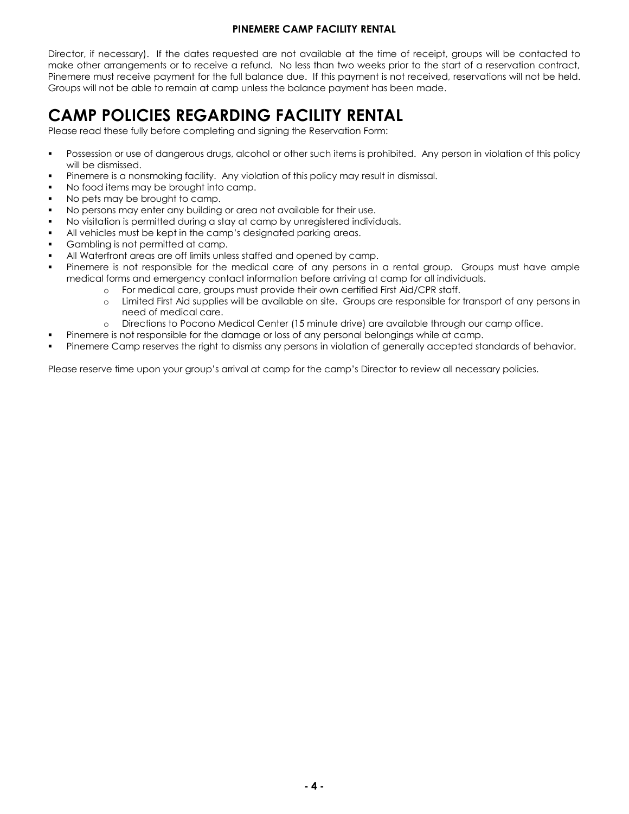# **RATES**

All rates are based on a specific group's needs in respect to size, length of stay, food service, program and staff. All staff will be charged at the same rate as participants, unless specifically excluded. If individuals will not be staying for the duration of a group's reservation, unless approved by the camp's Director, they will still be charged the full rate for that group.

In order to reserve the facility, a Facility Agreement will be signed by the group and emailed back to camp along with an initial deposit (amount to be determined in the Facility Agreement). No less than two weeks prior to the start of a reservation contract, Pinemere must receive payment for the full balance due. If this payment is not received, reservations will not be held. Groups will not be able to remain at camp unless the balance payment has been made.

Rates for 2022-2023 are:

Daily Rate: \$25 per Person Overnight Stay: \$15 per person Meal: \$9 per meal, per person Waterfront Usage: \$750 per day

- CAMP POLICIES REGARDING FACILITY RENTAL
- Please read these fully before completing and signing the Reservation Form: Possession or use of dangerous drugs, alcohol or other such items is prohibited. Any person in violation of this policy will be dismissed.
- Pinemere is a nonsmoking facility. Any violation of this policy may result in dismissal.
- No food items may be brought into camp.
- No pets may be brought to camp.
- No persons may enter any building or area not available for their use.
- No visitation is permitted during a stay at camp by unregistered individuals.
- All vehicles must be kept in the camp's designated parking areas.
- Gambling is not permitted at camp.
- All Waterfront areas are off limits unless staffed and opened by camp.
- Pinemere is not responsible for the medical care of any persons in a rental group. Groups must have ample medical forms and emergency contact information before arriving at camp for all individuals.
	- o For medical care, groups must provide their own certified First Aid/CPR staff.
		- Limited First Aid supplies will be available on site. Groups are responsible for transport of any persons in need of medical care.
		- o Directions to Pocono Medical Center (15 minute drive) are available through our camp office.
	- Pinemere is not responsible for the damage or loss of any personal belongings while at camp.
- Pinemere Camp reserves the right to dismiss any persons in violation of generally accepted standards of behavior.